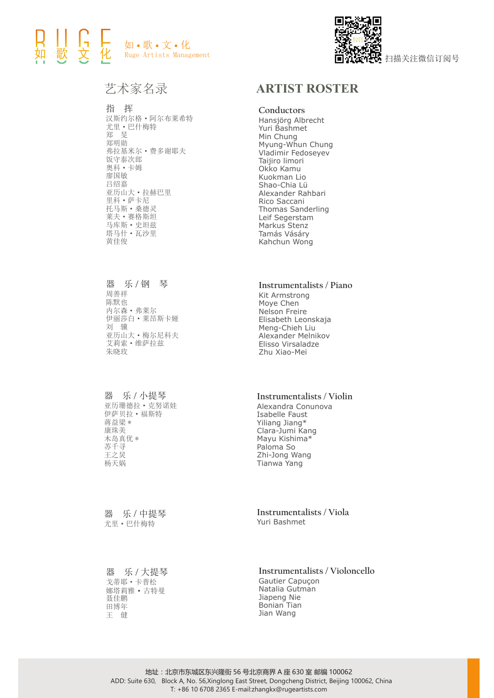## ┃ ┃- ]<br>歌 文 如 • 歌 • 文 • 化 Ruge Artists Management



艺术家名录

### 指 挥

汉斯约尔格·阿尔布莱希特 尤里·巴什梅特 郑 旻 郑明勋 弗拉基米尔·费多谢耶夫 饭守泰次郎 奥科·卡姆 廖国敏 吕绍嘉 亚历山大·拉赫巴里 里科·萨卡尼 托马斯·桑德灵 莱夫·赛格斯坦 马库斯·史坦兹 塔马什·瓦沙里 黄佳俊

# **Conductors ARTIST ROSTER**

Hansjörg Albrecht Yuri Bashmet Min Chung Myung-Whun Chung Vladimir Fedoseyev Taijiro limori Okko Kamu Kuokman Lio Shao-Chia Lü Alexander Rahbari Rico Saccani Thomas Sanderling Leif Segerstam Markus Stenz Tamás Vásáry Kahchun Wong

器 乐 **/** 钢 琴 周善祥 陈默也 内尔森·弗莱尔 伊丽莎白·莱昂斯卡娅 刘 骥 亚历山大·梅尔尼科夫 艾莉索·维萨拉兹 朱晓玫

#### 器 乐 **/** 小提琴

亚历珊德拉·克努诺娃 伊萨贝拉·福斯特 蒋益梁 \* 康珠美 木岛真优 \* 苏千寻 王之炅 杨天娲

器 乐 **/** 中提琴 尤里·巴什梅特

器 乐 **/** 大提琴 戈蒂耶·卡普松 娜塔莉雅·古特曼 聂佳鹏 田博年 王 健

#### **Instrumentalists / Piano**

Kit Armstrong Moye Chen Nelson Freire Elisabeth Leonskaja Meng-Chieh Liu Alexander Melnikov Elisso Virsaladze Zhu Xiao-Mei

#### **Instrumentalists / Violin**

Alexandra Conunova Isabelle Faust Yiliang Jiang\* Clara-Jumi Kang Mayu Kishima\* Paloma So Zhi-Jong Wang Tianwa Yang

**Instrumentalists / Viola** Yuri Bashmet

**Instrumentalists / Violoncello**

Gautier Capuçon Natalia Gutman Jiapeng Nie Bonian Tian Jian Wang